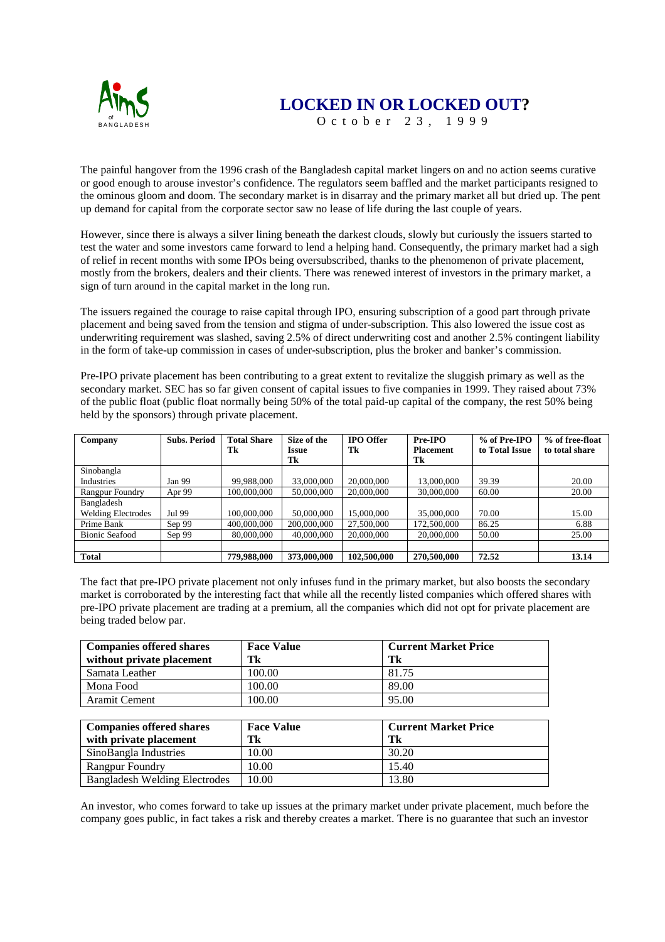

## **LOCKED IN OR LOCKED OUT?**

October 23, 1999

The painful hangover from the 1996 crash of the Bangladesh capital market lingers on and no action seems curative or good enough to arouse investor's confidence. The regulators seem baffled and the market participants resigned to the ominous gloom and doom. The secondary market is in disarray and the primary market all but dried up. The pent up demand for capital from the corporate sector saw no lease of life during the last couple of years.

However, since there is always a silver lining beneath the darkest clouds, slowly but curiously the issuers started to test the water and some investors came forward to lend a helping hand. Consequently, the primary market had a sigh of relief in recent months with some IPOs being oversubscribed, thanks to the phenomenon of private placement, mostly from the brokers, dealers and their clients. There was renewed interest of investors in the primary market, a sign of turn around in the capital market in the long run.

The issuers regained the courage to raise capital through IPO, ensuring subscription of a good part through private placement and being saved from the tension and stigma of under-subscription. This also lowered the issue cost as underwriting requirement was slashed, saving 2.5% of direct underwriting cost and another 2.5% contingent liability in the form of take-up commission in cases of under-subscription, plus the broker and banker's commission.

Pre-IPO private placement has been contributing to a great extent to revitalize the sluggish primary as well as the secondary market. SEC has so far given consent of capital issues to five companies in 1999. They raised about 73% of the public float (public float normally being 50% of the total paid-up capital of the company, the rest 50% being held by the sponsors) through private placement.

| Company                   | <b>Subs. Period</b> | <b>Total Share</b> | Size of the         | <b>IPO</b> Offer | Pre-IPO          | % of Pre-IPO   | % of free-float |
|---------------------------|---------------------|--------------------|---------------------|------------------|------------------|----------------|-----------------|
|                           |                     | Tk                 | <i><b>Issue</b></i> | Tk               | <b>Placement</b> | to Total Issue | to total share  |
|                           |                     |                    | Tk                  |                  | Tk               |                |                 |
| Sinobangla                |                     |                    |                     |                  |                  |                |                 |
| Industries                | Jan 99              | 99.988.000         | 33,000,000          | 20,000,000       | 13,000,000       | 39.39          | 20.00           |
| Rangpur Foundry           | Apr 99              | 100,000,000        | 50,000,000          | 20,000,000       | 30,000,000       | 60.00          | 20.00           |
| Bangladesh                |                     |                    |                     |                  |                  |                |                 |
| <b>Welding Electrodes</b> | Jul 99              | 100,000,000        | 50,000,000          | 15,000,000       | 35,000,000       | 70.00          | 15.00           |
| Prime Bank                | Sep 99              | 400,000,000        | 200,000,000         | 27,500,000       | 172,500,000      | 86.25          | 6.88            |
| <b>Bionic Seafood</b>     | Sep 99              | 80,000,000         | 40,000,000          | 20,000,000       | 20,000,000       | 50.00          | 25.00           |
|                           |                     |                    |                     |                  |                  |                |                 |
| <b>Total</b>              |                     | 779,988,000        | 373,000,000         | 102,500,000      | 270,500,000      | 72.52          | 13.14           |

The fact that pre-IPO private placement not only infuses fund in the primary market, but also boosts the secondary market is corroborated by the interesting fact that while all the recently listed companies which offered shares with pre-IPO private placement are trading at a premium, all the companies which did not opt for private placement are being traded below par.

| <b>Companies offered shares</b> | <b>Face Value</b> | <b>Current Market Price</b> |
|---------------------------------|-------------------|-----------------------------|
| without private placement       | Tk                | Tk                          |
| Samata Leather                  | 100.00            | 81.75                       |
| Mona Food                       | 100.00            | 89.00                       |
| <b>Aramit Cement</b>            | 100.00            | 95.00                       |
|                                 |                   |                             |
| Companies offered shares        | <b>Face Value</b> | <b>Current Market Price</b> |

| Companies offered shares             | <b>Face Value</b> | - Current Market Price |
|--------------------------------------|-------------------|------------------------|
| with private placement               | Tk                | Tk                     |
| SinoBangla Industries                | 10.00             | 30.20                  |
| <b>Rangpur Foundry</b>               | 10.00             | 15.40                  |
| <b>Bangladesh Welding Electrodes</b> | 10.00             | 13.80                  |

An investor, who comes forward to take up issues at the primary market under private placement, much before the company goes public, in fact takes a risk and thereby creates a market. There is no guarantee that such an investor